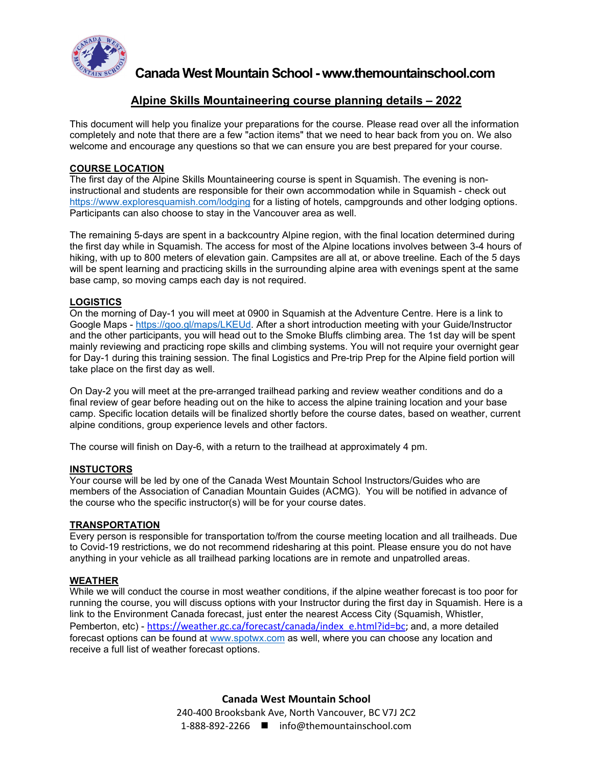

**Canada West Mountain School - www.themountainschool.com**

# **Alpine Skills Mountaineering course planning details – 2022**

This document will help you finalize your preparations for the course. Please read over all the information completely and note that there are a few "action items" that we need to hear back from you on. We also welcome and encourage any questions so that we can ensure you are best prepared for your course.

## **COURSE LOCATION**

The first day of the Alpine Skills Mountaineering course is spent in Squamish. The evening is noninstructional and students are responsible for their own accommodation while in Squamish - check out <https://www.exploresquamish.com/lodging> for a listing of hotels, campgrounds and other lodging options. Participants can also choose to stay in the Vancouver area as well.

The remaining 5-days are spent in a backcountry Alpine region, with the final location determined during the first day while in Squamish. The access for most of the Alpine locations involves between 3-4 hours of hiking, with up to 800 meters of elevation gain. Campsites are all at, or above treeline. Each of the 5 days will be spent learning and practicing skills in the surrounding alpine area with evenings spent at the same base camp, so moving camps each day is not required.

## **LOGISTICS**

On the morning of Day-1 you will meet at 0900 in Squamish at the Adventure Centre. Here is a link to Google Maps - [https://goo.gl/maps/LKEUd.](https://goo.gl/maps/LKEUd) After a short introduction meeting with your Guide/Instructor and the other participants, you will head out to the Smoke Bluffs climbing area. The 1st day will be spent mainly reviewing and practicing rope skills and climbing systems. You will not require your overnight gear for Day-1 during this training session. The final Logistics and Pre-trip Prep for the Alpine field portion will take place on the first day as well.

On Day-2 you will meet at the pre-arranged trailhead parking and review weather conditions and do a final review of gear before heading out on the hike to access the alpine training location and your base camp. Specific location details will be finalized shortly before the course dates, based on weather, current alpine conditions, group experience levels and other factors.

The course will finish on Day-6, with a return to the trailhead at approximately 4 pm.

#### **INSTUCTORS**

Your course will be led by one of the Canada West Mountain School Instructors/Guides who are members of the Association of Canadian Mountain Guides (ACMG). You will be notified in advance of the course who the specific instructor(s) will be for your course dates.

#### **TRANSPORTATION**

Every person is responsible for transportation to/from the course meeting location and all trailheads. Due to Covid-19 restrictions, we do not recommend ridesharing at this point. Please ensure you do not have anything in your vehicle as all trailhead parking locations are in remote and unpatrolled areas.

#### **WEATHER**

While we will conduct the course in most weather conditions, if the alpine weather forecast is too poor for running the course, you will discuss options with your Instructor during the first day in Squamish. Here is a link to the Environment Canada forecast, just enter the nearest Access City (Squamish, Whistler, Pemberton, etc) - [https://weather.gc.ca/forecast/canada/index\\_e.html?id=bc;](https://weather.gc.ca/forecast/canada/index_e.html?id=bc) and, a more detailed forecast options can be found at [www.spotwx.com](http://www.spotwx.com/) as well, where you can choose any location and receive a full list of weather forecast options.

> **Canada West Mountain School** 240-400 Brooksbank Ave, North Vancouver, BC V7J 2C2 1-888-892-2266 ■ info@themountainschool.com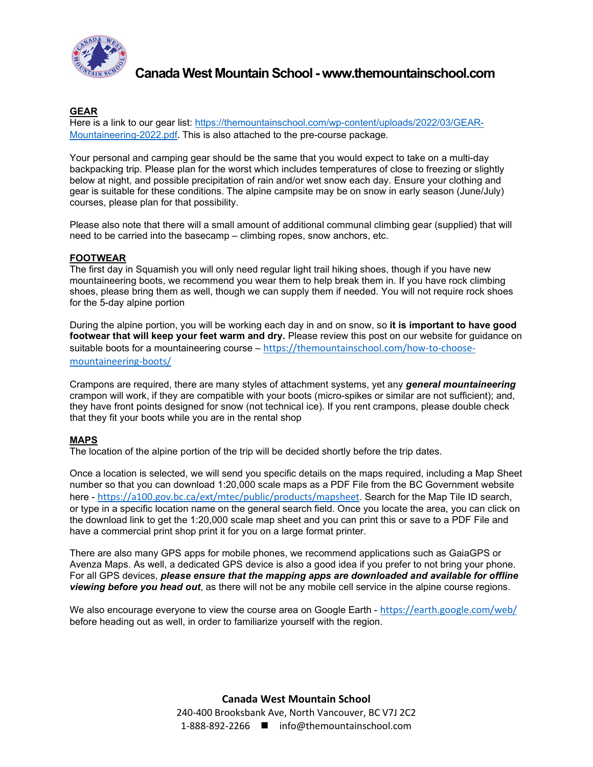

**Canada West Mountain School - www.themountainschool.com**

# **GEAR**

Here is a link to our gear list: [https://themountainschool.com/wp-content/uploads/2022/03/GEAR-](https://themountainschool.com/wp-content/uploads/2022/03/GEAR-Mountaineering-2022.pdf)[Mountaineering-2022.pdf](https://themountainschool.com/wp-content/uploads/2022/03/GEAR-Mountaineering-2022.pdf). This is also attached to the pre-course package.

Your personal and camping gear should be the same that you would expect to take on a multi-day backpacking trip. Please plan for the worst which includes temperatures of close to freezing or slightly below at night, and possible precipitation of rain and/or wet snow each day. Ensure your clothing and gear is suitable for these conditions. The alpine campsite may be on snow in early season (June/July) courses, please plan for that possibility.

Please also note that there will a small amount of additional communal climbing gear (supplied) that will need to be carried into the basecamp – climbing ropes, snow anchors, etc.

## **FOOTWEAR**

The first day in Squamish you will only need regular light trail hiking shoes, though if you have new mountaineering boots, we recommend you wear them to help break them in. If you have rock climbing shoes, please bring them as well, though we can supply them if needed. You will not require rock shoes for the 5-day alpine portion

During the alpine portion, you will be working each day in and on snow, so **it is important to have good footwear that will keep your feet warm and dry.** Please review this post on our website for guidance on suitable boots for a mountaineering course – [https://themountainschool.com/how-to-choose](https://themountainschool.com/how-to-choose-mountaineering-boots/)[mountaineering-boots/](https://themountainschool.com/how-to-choose-mountaineering-boots/)

Crampons are required, there are many styles of attachment systems, yet any *general mountaineering* crampon will work, if they are compatible with your boots (micro-spikes or similar are not sufficient); and, they have front points designed for snow (not technical ice). If you rent crampons, please double check that they fit your boots while you are in the rental shop

## **MAPS**

The location of the alpine portion of the trip will be decided shortly before the trip dates.

Once a location is selected, we will send you specific details on the maps required, including a Map Sheet number so that you can download 1:20,000 scale maps as a PDF File from the BC Government website here - <https://a100.gov.bc.ca/ext/mtec/public/products/mapsheet>. Search for the Map Tile ID search, or type in a specific location name on the general search field. Once you locate the area, you can click on the download link to get the 1:20,000 scale map sheet and you can print this or save to a PDF File and have a commercial print shop print it for you on a large format printer.

There are also many GPS apps for mobile phones, we recommend applications such as GaiaGPS or Avenza Maps. As well, a dedicated GPS device is also a good idea if you prefer to not bring your phone. For all GPS devices, *please ensure that the mapping apps are downloaded and available for offline viewing before you head out*, as there will not be any mobile cell service in the alpine course regions.

We also encourage everyone to view the course area on Google Earth - <https://earth.google.com/web/> before heading out as well, in order to familiarize yourself with the region.

> **Canada West Mountain School** 240-400 Brooksbank Ave, North Vancouver, BC V7J 2C2 1-888-892-2266 ■ info@themountainschool.com